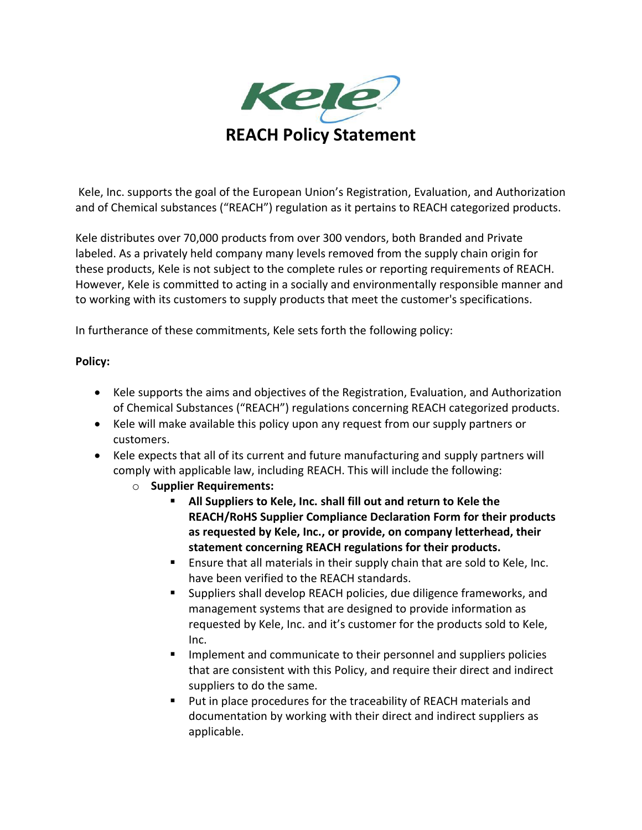

Kele, Inc. supports the goal of the European Union's Registration, Evaluation, and Authorization and of Chemical substances ("REACH") regulation as it pertains to REACH categorized products.

Kele distributes over 70,000 products from over 300 vendors, both Branded and Private labeled. As a privately held company many levels removed from the supply chain origin for these products, Kele is not subject to the complete rules or reporting requirements of REACH. However, Kele is committed to acting in a socially and environmentally responsible manner and to working with its customers to supply products that meet the customer's specifications.

In furtherance of these commitments, Kele sets forth the following policy:

## **Policy:**

- Kele supports the aims and objectives of the Registration, Evaluation, and Authorization of Chemical Substances ("REACH") regulations concerning REACH categorized products.
- Kele will make available this policy upon any request from our supply partners or customers.
- Kele expects that all of its current and future manufacturing and supply partners will comply with applicable law, including REACH. This will include the following:
	- o **Supplier Requirements:**
		- **All Suppliers to Kele, Inc. shall fill out and return to Kele the REACH/RoHS Supplier Compliance Declaration Form for their products as requested by Kele, Inc., or provide, on company letterhead, their statement concerning REACH regulations for their products.**
		- Ensure that all materials in their supply chain that are sold to Kele, Inc. have been verified to the REACH standards.
		- Suppliers shall develop REACH policies, due diligence frameworks, and management systems that are designed to provide information as requested by Kele, Inc. and it's customer for the products sold to Kele, Inc.
		- **IMPLEMENTE IMPLEM** Implement and communicate to their personnel and suppliers policies that are consistent with this Policy, and require their direct and indirect suppliers to do the same.
		- Put in place procedures for the traceability of REACH materials and documentation by working with their direct and indirect suppliers as applicable.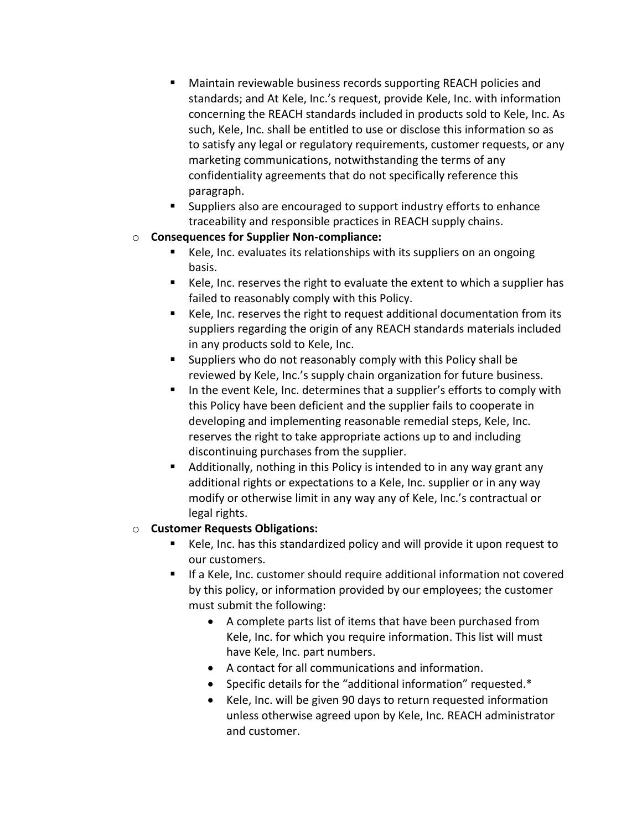- Maintain reviewable business records supporting REACH policies and standards; and At Kele, Inc.'s request, provide Kele, Inc. with information concerning the REACH standards included in products sold to Kele, Inc. As such, Kele, Inc. shall be entitled to use or disclose this information so as to satisfy any legal or regulatory requirements, customer requests, or any marketing communications, notwithstanding the terms of any confidentiality agreements that do not specifically reference this paragraph.
- Suppliers also are encouraged to support industry efforts to enhance traceability and responsible practices in REACH supply chains.
- o **Consequences for Supplier Non-compliance:**
	- Kele, Inc. evaluates its relationships with its suppliers on an ongoing basis.
	- Kele, Inc. reserves the right to evaluate the extent to which a supplier has failed to reasonably comply with this Policy.
	- Kele, Inc. reserves the right to request additional documentation from its suppliers regarding the origin of any REACH standards materials included in any products sold to Kele, Inc.
	- Suppliers who do not reasonably comply with this Policy shall be reviewed by Kele, Inc.'s supply chain organization for future business.
	- In the event Kele, Inc. determines that a supplier's efforts to comply with this Policy have been deficient and the supplier fails to cooperate in developing and implementing reasonable remedial steps, Kele, Inc. reserves the right to take appropriate actions up to and including discontinuing purchases from the supplier.
	- Additionally, nothing in this Policy is intended to in any way grant any additional rights or expectations to a Kele, Inc. supplier or in any way modify or otherwise limit in any way any of Kele, Inc.'s contractual or legal rights.

## o **Customer Requests Obligations:**

- Kele, Inc. has this standardized policy and will provide it upon request to our customers.
- If a Kele, Inc. customer should require additional information not covered by this policy, or information provided by our employees; the customer must submit the following:
	- A complete parts list of items that have been purchased from Kele, Inc. for which you require information. This list will must have Kele, Inc. part numbers.
	- A contact for all communications and information.
	- Specific details for the "additional information" requested.\*
	- Kele, Inc. will be given 90 days to return requested information unless otherwise agreed upon by Kele, Inc. REACH administrator and customer.